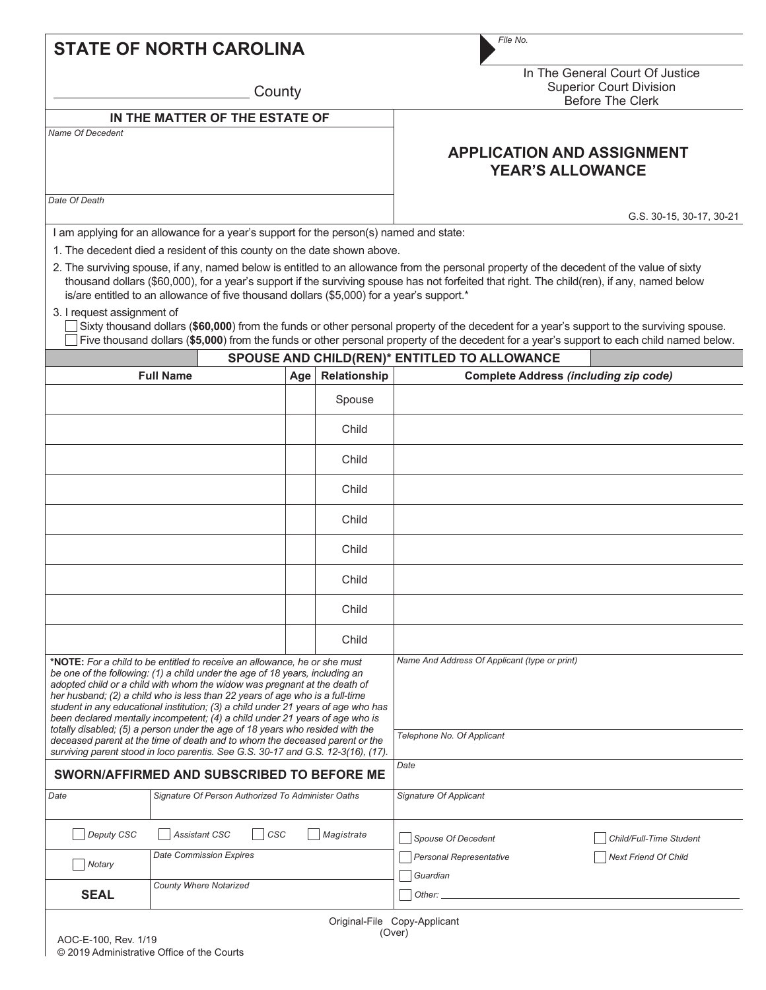|  |  | <b>STATE OF NORTH CAROLINA</b> |  |
|--|--|--------------------------------|--|
|--|--|--------------------------------|--|

**County** 

In The General Court Of Justice Superior Court Division .<br>Before The Clerk

**APPLICATION AND ASSIGNMENT YEAR'S ALLOWANCE**

*File No.*

## **IN THE MATTER OF THE ESTATE OF** *Name Of Decedent*

*Date Of Death*

G.S. 30-15, 30-17, 30-21

I am applying for an allowance for a year's support for the person(s) named and state:

1. The decedent died a resident of this county on the date shown above.

2. The surviving spouse, if any, named below is entitled to an allowance from the personal property of the decedent of the value of sixty thousand dollars (\$60,000), for a year's support if the surviving spouse has not forfeited that right. The child(ren), if any, named below is/are entitled to an allowance of five thousand dollars (\$5,000) for a year's support.\*

## 3. I request assignment of

 Sixty thousand dollars (**\$60,000**) from the funds or other personal property of the decedent for a year's support to the surviving spouse.  $\Box$  Five thousand dollars (\$5,000) from the funds or other personal property of the decedent for a year's support to each child named below.

| <b>SPOUSE AND CHILD(REN)* ENTITLED TO ALLOWANCE</b>                                                                                                                                                                                                                                                                                                                                                                                                                                         |                               |                                                    |     |                                               |                                              |                             |
|---------------------------------------------------------------------------------------------------------------------------------------------------------------------------------------------------------------------------------------------------------------------------------------------------------------------------------------------------------------------------------------------------------------------------------------------------------------------------------------------|-------------------------------|----------------------------------------------------|-----|-----------------------------------------------|----------------------------------------------|-----------------------------|
|                                                                                                                                                                                                                                                                                                                                                                                                                                                                                             | <b>Full Name</b>              |                                                    | Age | Relationship                                  | <b>Complete Address (including zip code)</b> |                             |
|                                                                                                                                                                                                                                                                                                                                                                                                                                                                                             |                               |                                                    |     | Spouse                                        |                                              |                             |
|                                                                                                                                                                                                                                                                                                                                                                                                                                                                                             |                               |                                                    |     | Child                                         |                                              |                             |
|                                                                                                                                                                                                                                                                                                                                                                                                                                                                                             |                               |                                                    |     | Child                                         |                                              |                             |
|                                                                                                                                                                                                                                                                                                                                                                                                                                                                                             |                               |                                                    |     | Child                                         |                                              |                             |
|                                                                                                                                                                                                                                                                                                                                                                                                                                                                                             |                               |                                                    |     | Child                                         |                                              |                             |
|                                                                                                                                                                                                                                                                                                                                                                                                                                                                                             |                               |                                                    |     | Child                                         |                                              |                             |
|                                                                                                                                                                                                                                                                                                                                                                                                                                                                                             |                               |                                                    |     | Child                                         |                                              |                             |
|                                                                                                                                                                                                                                                                                                                                                                                                                                                                                             |                               |                                                    |     | Child                                         |                                              |                             |
|                                                                                                                                                                                                                                                                                                                                                                                                                                                                                             |                               |                                                    |     | Child                                         |                                              |                             |
| *NOTE: For a child to be entitled to receive an allowance, he or she must<br>be one of the following: (1) a child under the age of 18 years, including an<br>adopted child or a child with whom the widow was pregnant at the death of<br>her husband; (2) a child who is less than 22 years of age who is a full-time<br>student in any educational institution; (3) a child under 21 years of age who has<br>been declared mentally incompetent; (4) a child under 21 years of age who is |                               |                                                    |     | Name And Address Of Applicant (type or print) |                                              |                             |
| totally disabled; (5) a person under the age of 18 years who resided with the<br>deceased parent at the time of death and to whom the deceased parent or the<br>surviving parent stood in loco parentis. See G.S. 30-17 and G.S. 12-3(16), (17).                                                                                                                                                                                                                                            |                               |                                                    |     | Telephone No. Of Applicant                    |                                              |                             |
| SWORN/AFFIRMED AND SUBSCRIBED TO BEFORE ME                                                                                                                                                                                                                                                                                                                                                                                                                                                  |                               | Date                                               |     |                                               |                                              |                             |
| Date                                                                                                                                                                                                                                                                                                                                                                                                                                                                                        |                               | Signature Of Person Authorized To Administer Oaths |     | Signature Of Applicant                        |                                              |                             |
| Deputy CSC                                                                                                                                                                                                                                                                                                                                                                                                                                                                                  |                               | <b>Assistant CSC</b><br>CSC                        |     | Magistrate                                    | Spouse Of Decedent                           | Child/Full-Time Student     |
| Notary                                                                                                                                                                                                                                                                                                                                                                                                                                                                                      |                               | <b>Date Commission Expires</b>                     |     |                                               | <b>Personal Representative</b><br>Guardian   | <b>Next Friend Of Child</b> |
| <b>SEAL</b>                                                                                                                                                                                                                                                                                                                                                                                                                                                                                 | <b>County Where Notarized</b> |                                                    |     |                                               | Other:                                       |                             |
|                                                                                                                                                                                                                                                                                                                                                                                                                                                                                             |                               |                                                    |     |                                               |                                              |                             |

Original-File Copy-Applicant (Over)